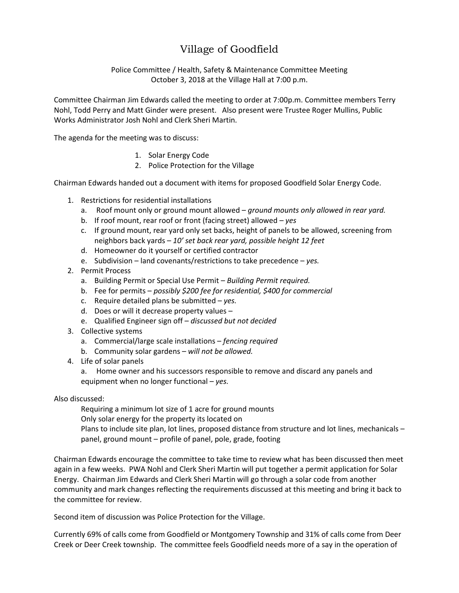## Village of Goodfield

Police Committee / Health, Safety & Maintenance Committee Meeting October 3, 2018 at the Village Hall at 7:00 p.m.

Committee Chairman Jim Edwards called the meeting to order at 7:00p.m. Committee members Terry Nohl, Todd Perry and Matt Ginder were present. Also present were Trustee Roger Mullins, Public Works Administrator Josh Nohl and Clerk Sheri Martin.

The agenda for the meeting was to discuss:

- 1. Solar Energy Code
- 2. Police Protection for the Village

Chairman Edwards handed out a document with items for proposed Goodfield Solar Energy Code.

- 1. Restrictions for residential installations
	- a. Roof mount only or ground mount allowed *ground mounts only allowed in rear yard.*
	- b. If roof mount, rear roof or front (facing street) allowed *yes*
	- c. If ground mount, rear yard only set backs, height of panels to be allowed, screening from neighbors back yards – *10' set back rear yard, possible height 12 feet*
	- d. Homeowner do it yourself or certified contractor
	- e. Subdivision land covenants/restrictions to take precedence *yes.*
- 2. Permit Process
	- a. Building Permit or Special Use Permit *Building Permit required.*
	- b. Fee for permits *possibly \$200 fee for residential, \$400 for commercial*
	- c. Require detailed plans be submitted *yes.*
	- d. Does or will it decrease property values –
	- e. Qualified Engineer sign off *discussed but not decided*
- 3. Collective systems
	- a. Commercial/large scale installations *fencing required*
	- b. Community solar gardens *will not be allowed.*
- 4. Life of solar panels
	- a. Home owner and his successors responsible to remove and discard any panels and equipment when no longer functional – *yes.*

Also discussed:

Requiring a minimum lot size of 1 acre for ground mounts

Only solar energy for the property its located on

Plans to include site plan, lot lines, proposed distance from structure and lot lines, mechanicals – panel, ground mount – profile of panel, pole, grade, footing

Chairman Edwards encourage the committee to take time to review what has been discussed then meet again in a few weeks. PWA Nohl and Clerk Sheri Martin will put together a permit application for Solar Energy. Chairman Jim Edwards and Clerk Sheri Martin will go through a solar code from another community and mark changes reflecting the requirements discussed at this meeting and bring it back to the committee for review.

Second item of discussion was Police Protection for the Village.

Currently 69% of calls come from Goodfield or Montgomery Township and 31% of calls come from Deer Creek or Deer Creek township. The committee feels Goodfield needs more of a say in the operation of